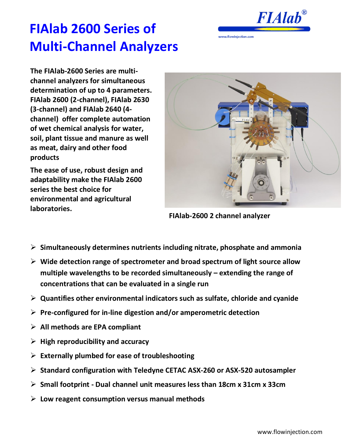

## **FIAlab 2600 Series of Multi-Channel Analyzers**

**The FIAlab-2600 Series are multichannel analyzers for simultaneous determination of up to 4 parameters. FIAlab 2600 (2-channel), FIAlab 2630 (3-channel) and FIAlab 2640 (4 channel) offer complete automation of wet chemical analysis for water, soil, plant tissue and manure as well as meat, dairy and other food products**

**The ease of use, robust design and adaptability make the FIAlab 2600 series the best choice for environmental and agricultural laboratories.** 



**FIAlab-2600 2 channel analyzer**

- **Simultaneously determines nutrients including nitrate, phosphate and ammonia**
- **Wide detection range of spectrometer and broad spectrum of light source allow multiple wavelengths to be recorded simultaneously – extending the range of concentrations that can be evaluated in a single run**
- **Quantifies other environmental indicators such as sulfate, chloride and cyanide**
- **Pre-configured for in-line digestion and/or amperometric detection**
- **All methods are EPA compliant**
- **High reproducibility and accuracy**
- **Externally plumbed for ease of troubleshooting**
- **Standard configuration with Teledyne CETAC ASX-260 or ASX-520 autosampler**
- **Small footprint - Dual channel unit measures less than 18cm x 31cm x 33cm**
- **Low reagent consumption versus manual methods**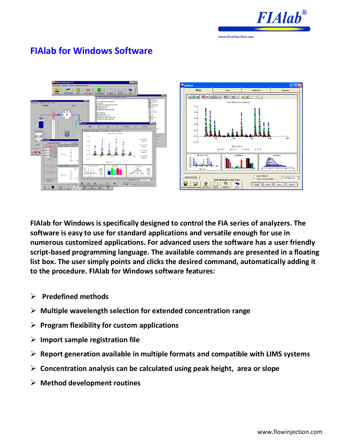

## **FIAlab for Windows Software**



**FIAlab for Windows is specifically designed to control the FIA series of analyzers. The software is easy to use for standard applications and versatile enough for use in numerous customized applications. For advanced users the software has a user friendly script-based programming language. The available commands are presented in a floating list box. The user simply points and clicks the desired command, automatically adding it to the procedure. FIAlab for Windows software features:**

- **Predefined methods**
- **Multiple wavelength selection for extended concentration range**
- **Program flexibility for custom applications**
- **Import sample registration file**
- **Report generation available in multiple formats and compatible with LIMS systems**
- **Concentration analysis can be calculated using peak height, area or slope**
- **Method development routines**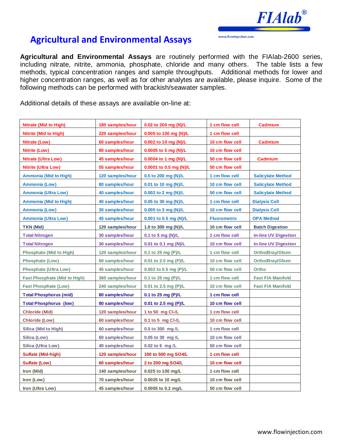

## **Agricultural and Environmental Assays**

Agricultural and Environmental Assays are routinely performed with the FIAlab-2600 series, including nitrate, nitrite, ammonia, phosphate, chloride and many others. The table lists a few methods, typical concentration ranges and sample throughputs. Additional methods for lower and higher concentration ranges, as well as for other analytes are available, please inquire. Some of the following methods can be performed with brackish/seawater samples.

Additional details of these assays are available on-line at:

| <b>Nitrate (Mid to High)</b>        | 180 samples/hour | 0.02 to 200 mg (N)/L     | 1 cm flow cell      | <b>Cadmium</b>              |
|-------------------------------------|------------------|--------------------------|---------------------|-----------------------------|
| <b>Nitrite (Mid to High)</b>        | 220 samples/hour | 0.005 to 100 mg (N)/L    | 1 cm flow cell      |                             |
| Nitrate (Low)                       | 60 samples/hour  | 0.002 to 10 mg (N)/L     | 10 cm flow cell     | <b>Cadmium</b>              |
| Nitrite (Low)                       | 80 samples/hour  | 0.0005 to 5 mg (N)/L     | 10 cm flow cell     |                             |
| <b>Nitrate (Ultra Low)</b>          | 45 samples/hour  | 0.0004 to 1 mg $(N)/L$   | 50 cm flow cell     | Cadmium                     |
| <b>Nitrite (Ultra Low)</b>          | 55 samples/hour  | $0.0001$ to 0.5 mg (N)/L | 50 cm flow cell     |                             |
| <b>Ammonia (Mid to High)</b>        | 120 samples/hour | 0.5 to 200 mg (N)/L      | 1 cm flow cell      | <b>Salicylate Method</b>    |
| Ammonia (Low)                       | 80 samples/hour  | 0.01 to 10 mg $(N)/L$    | 10 cm flow cell     | <b>Salicylate Method</b>    |
| Ammonia (Ultra Low)                 | 40 samples/hour  | 0.002 to 2 mg $(N)/L$    | 50 cm flow cell     | <b>Salicylate Method</b>    |
| Ammonia (Mid to High)               | 40 samples/hour  | 0.05 to 30 mg $(N)/L$    | 1 cm flow cell      | <b>Dialysis Cell</b>        |
| Ammonia (Low)                       | 30 samples/hour  | 0.005 to 3 mg (N)/L      | 10 cm flow cell     | <b>Dialysis Cell</b>        |
| <b>Ammonia (Ultra Low)</b>          | 45 samples/hour  | 0.001 to 0.5 mg (N)/L    | <b>Fluorometric</b> | <b>OPA Method</b>           |
| TKN (Mid)                           | 120 samples/hour | 1.0 to 300 mg (N)/L      | 10 cm flow cell     | <b>Batch Digestion</b>      |
| <b>Total Nitrogen</b>               | 30 samples/hour  | 0.1 to 5 mg $(N)/L$      | 1 cm flow cell      | <b>In-line UV Digestion</b> |
| <b>Total Nitrogen</b>               | 30 samples/hour  | 0.01 to 0.1 mg (N)/L     | 10 cm flow cell     | <b>In-line UV Digestion</b> |
| <b>Phosphate (Mid to High)</b>      | 120 samples/hour | 0.1 to 25 mg $(P)/L$     | 1 cm flow cell      | Ortho/Bray/Olsen            |
| <b>Phosphate (Low)</b>              | 60 samples/hour  | 0.01 to 2.5 mg (P)/L     | 10 cm flow cell     | Ortho/Bray/Olsen            |
| <b>Phosphate (Ultra Low)</b>        | 45 samples/hour  | 0.002 to 0.5 mg $(P)/L$  | 50 cm flow cell     | Ortho                       |
| <b>Fast Phosphate (Mid to High)</b> | 360 samples/hour | 0.1 to 25 mg $(P)/L$     | 1 cm flow cell      | <b>Fast FIA Manifold</b>    |
| <b>Fast Phosphate (Low)</b>         | 240 samples/hour | 0.01 to 2.5 mg $(P)/L$   | 10 cm flow cell     | <b>Fast FIA Manifold</b>    |
| <b>Total Phosphorus (mid)</b>       | 80 samples/hour  | 0.1 to 25 mg $(P)/L$     | 1 cm flow cell      |                             |
| <b>Total Phosphorus (low)</b>       | 80 samples/hour  | 0.01 to 2.5 mg $(P)/L$   | 10 cm flow cell     |                             |
| <b>Chloride (Mid)</b>               | 120 samples/hour | 1 to 50 $mg$ CI-/L       | 1 cm flow cell      |                             |
| Chloride (Low)                      | 60 samples/hour  | 0.1 to 5 $mg$ CI-/L      | 10 cm flow cell     |                             |
| Silica (Mid to High)                | 60 samples/hour  | 0.5 to 300 mg/L          | 1 cm flow cell      |                             |
| Silica (Low)                        | 60 samples/hour  | 0.05 to 30 mg/L          | 10 cm flow cell     |                             |
| <b>Silica (Ultra Low)</b>           | 40 samples/hour  | $0.02$ to 6 mg/L         | 50 cm flow cell     |                             |
| <b>Sulfate (Mid-high)</b>           | 120 samples/hour | 100 to 500 mg SO4/L      | 1 cm flow cell      |                             |
| Sulfate (Low)                       | 60 samples/hour  | 2 to 200 mg SO4/L        | 10 cm flow cell     |                             |
| Iron (Mid)                          | 140 samples/hour | 0.025 to 100 mg/L        | 1 cm flow cell      |                             |
| Iron (Low)                          | 70 samples/hour  | 0.0025 to 10 mg/L        | 10 cm flow cell     |                             |
| Iron (Ultra Low)                    | 45 samples/hour  | $0.0005$ to 0.2 mg/L     | 50 cm flow cell     |                             |